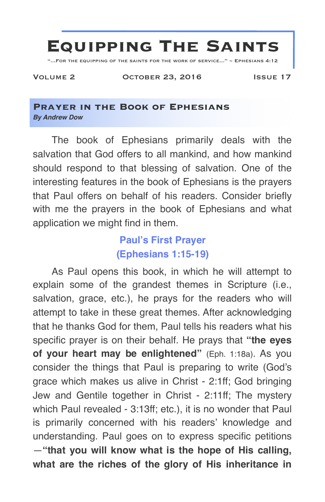

"...For the equipping of the saints for the work of service..." ~ Ephesians 4:12

Volume 2 October 23, 2016 Issue 17

#### **Prayer in the Book of Ephesians** *By Andrew Dow*

The book of Ephesians primarily deals with the salvation that God offers to all mankind, and how mankind should respond to that blessing of salvation. One of the interesting features in the book of Ephesians is the prayers that Paul offers on behalf of his readers. Consider briefly with me the prayers in the book of Ephesians and what application we might find in them.

# **Paul's First Prayer (Ephesians 1:15-19)**

As Paul opens this book, in which he will attempt to explain some of the grandest themes in Scripture (i.e., salvation, grace, etc.), he prays for the readers who will attempt to take in these great themes. After acknowledging that he thanks God for them, Paul tells his readers what his specific prayer is on their behalf. He prays that **"the eyes of your heart may be enlightened"** (Eph. 1:18a). As you consider the things that Paul is preparing to write (God's grace which makes us alive in Christ - 2:1ff; God bringing Jew and Gentile together in Christ - 2:11ff; The mystery which Paul revealed - 3:13ff; etc.), it is no wonder that Paul is primarily concerned with his readers' knowledge and understanding. Paul goes on to express specific petitions —**"that you will know what is the hope of His calling, what are the riches of the glory of His inheritance in**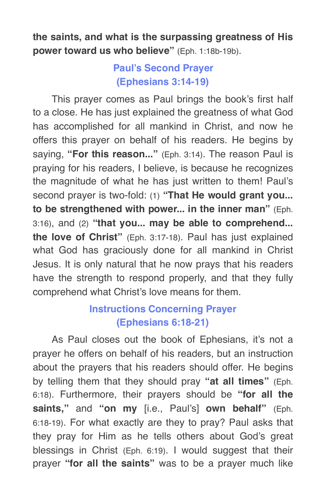**the saints, and what is the surpassing greatness of His power toward us who believe"** (Eph. 1:18b-19b).

## **Paul's Second Prayer (Ephesians 3:14-19)**

This prayer comes as Paul brings the book's first half to a close. He has just explained the greatness of what God has accomplished for all mankind in Christ, and now he offers this prayer on behalf of his readers. He begins by saying, **"For this reason..."** (Eph. 3:14). The reason Paul is praying for his readers, I believe, is because he recognizes the magnitude of what he has just written to them! Paul's second prayer is two-fold: (1) **"That He would grant you... to be strengthened with power... in the inner man"** (Eph. 3:16), and (2) **"that you... may be able to comprehend... the love of Christ"** (Eph. 3:17-18). Paul has just explained what God has graciously done for all mankind in Christ Jesus. It is only natural that he now prays that his readers have the strength to respond properly, and that they fully comprehend what Christ's love means for them.

## **Instructions Concerning Prayer (Ephesians 6:18-21)**

As Paul closes out the book of Ephesians, it's not a prayer he offers on behalf of his readers, but an instruction about the prayers that his readers should offer. He begins by telling them that they should pray **"at all times"** (Eph. 6:18). Furthermore, their prayers should be **"for all the saints,"** and **"on my** [i.e., Paul's] **own behalf"** (Eph. 6:18-19). For what exactly are they to pray? Paul asks that they pray for Him as he tells others about God's great blessings in Christ (Eph. 6:19). I would suggest that their prayer **"for all the saints"** was to be a prayer much like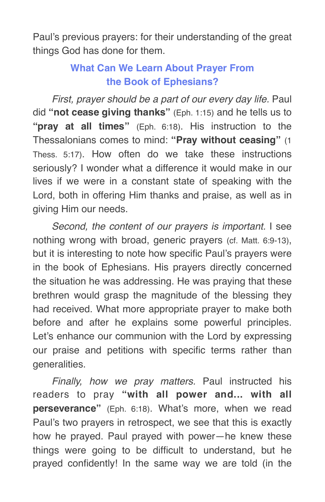Paul's previous prayers: for their understanding of the great things God has done for them.

# **What Can We Learn About Prayer From the Book of Ephesians?**

*First, prayer should be a part of our every day life.* Paul did **"not cease giving thanks"** (Eph. 1:15) and he tells us to **"pray at all times"** (Eph. 6:18). His instruction to the Thessalonians comes to mind: **"Pray without ceasing"** (1 Thess. 5:17). How often do we take these instructions seriously? I wonder what a difference it would make in our lives if we were in a constant state of speaking with the Lord, both in offering Him thanks and praise, as well as in giving Him our needs.

*Second, the content of our prayers is important.* I see nothing wrong with broad, generic prayers (cf. Matt. 6:9-13), but it is interesting to note how specific Paul's prayers were in the book of Ephesians. His prayers directly concerned the situation he was addressing. He was praying that these brethren would grasp the magnitude of the blessing they had received. What more appropriate prayer to make both before and after he explains some powerful principles. Let's enhance our communion with the Lord by expressing our praise and petitions with specific terms rather than generalities.

*Finally, how we pray matters.* Paul instructed his readers to pray **"with all power and... with all perseverance"** (Eph. 6:18). What's more, when we read Paul's two prayers in retrospect, we see that this is exactly how he prayed. Paul prayed with power—he knew these things were going to be difficult to understand, but he prayed confidently! In the same way we are told (in the